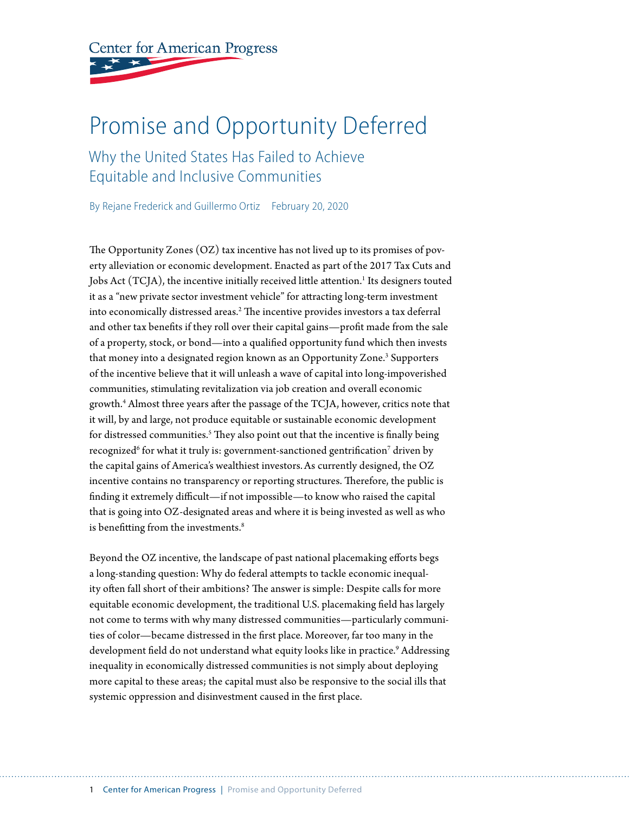**Center for American Progress** 

# Promise and Opportunity Deferred

Why the United States Has Failed to Achieve Equitable and Inclusive Communities

By Rejane Frederick and Guillermo Ortiz February 20, 2020

The Opportunity Zones (OZ) tax incentive has not lived up to its promises of poverty alleviation or economic development. Enacted as part of the 2017 Tax Cuts and Jobs Act  $(TCJA)$ , the incentive initially received little attention. $^1$  Its designers touted it as a "new private sector investment vehicle" for attracting long-term investment into economically distressed areas. $^2$  The incentive provides investors a tax deferral and other tax benefits if they roll over their capital gains—profit made from the sale of a property, stock, or bond—into a qualified opportunity fund which then invests that money into a designated region known as an Opportunity Zone.<sup>3</sup> Supporters of the incentive believe that it will unleash a wave of capital into long-impoverished communities, stimulating revitalization via job creation and overall economic growth.4 Almost three years after the passage of the TCJA, however, critics note that it will, by and large, not produce equitable or sustainable economic development for distressed communities.<sup>5</sup> They also point out that the incentive is finally being recognized $^6$  for what it truly is: government-sanctioned gentrification $^7$  driven by the capital gains of America's wealthiest investors.As currently designed, the OZ incentive contains no transparency or reporting structures. Therefore, the public is finding it extremely difficult—if not impossible—to know who raised the capital that is going into OZ-designated areas and where it is being invested as well as who is benefitting from the investments.<sup>8</sup>

Beyond the OZ incentive, the landscape of past national placemaking efforts begs a long-standing question: Why do federal attempts to tackle economic inequality often fall short of their ambitions? The answer is simple: Despite calls for more equitable economic development, the traditional U.S. placemaking field has largely not come to terms with why many distressed communities—particularly communities of color—became distressed in the first place. Moreover, far too many in the development field do not understand what equity looks like in practice.<sup>9</sup> Addressing inequality in economically distressed communities is not simply about deploying more capital to these areas; the capital must also be responsive to the social ills that systemic oppression and disinvestment caused in the first place.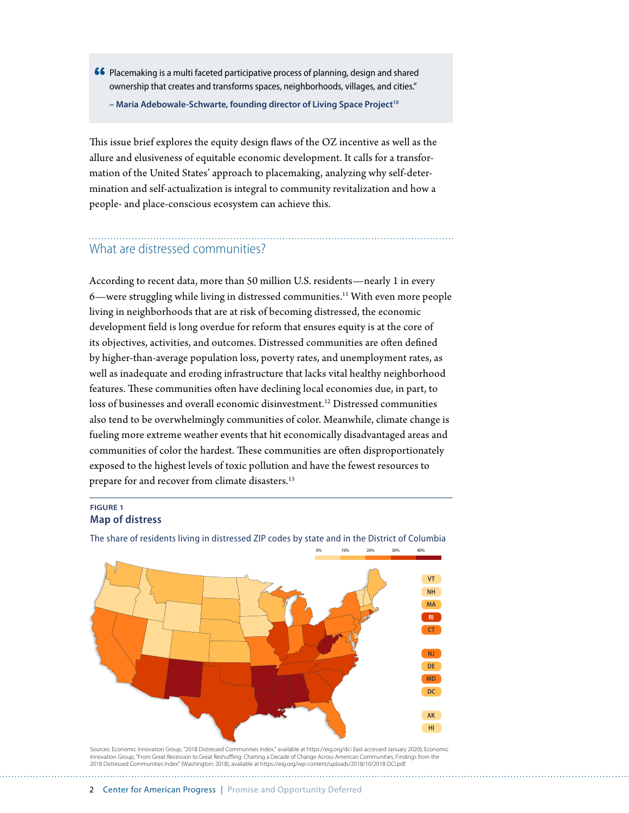66 Placemaking is a multi faceted participative process of planning, design and shared ownership that creates and transforms spaces, neighborhoods, villages, and cities."

**– Maria Adebowale-Schwarte, founding director of Living Space Project10**

This issue brief explores the equity design flaws of the OZ incentive as well as the allure and elusiveness of equitable economic development. It calls for a transformation of the United States' approach to placemaking, analyzing why self-determination and self-actualization is integral to community revitalization and how a people- and place-conscious ecosystem can achieve this.

## What are distressed communities?

According to recent data, more than 50 million U.S. residents—nearly 1 in every 6—were struggling while living in distressed communities.<sup>11</sup> With even more people living in neighborhoods that are at risk of becoming distressed, the economic development field is long overdue for reform that ensures equity is at the core of its objectives, activities, and outcomes. Distressed communities are often defined by higher-than-average population loss, poverty rates, and unemployment rates, as well as inadequate and eroding infrastructure that lacks vital healthy neighborhood features. These communities often have declining local economies due, in part, to loss of businesses and overall economic disinvestment.<sup>12</sup> Distressed communities also tend to be overwhelmingly communities of color. Meanwhile, climate change is fueling more extreme weather events that hit economically disadvantaged areas and communities of color the hardest. These communities are often disproportionately exposed to the highest levels of toxic pollution and have the fewest resources to prepare for and recover from climate disasters.<sup>13</sup>

#### **FIGURE 1 Map of distress**



The share of residents living in distressed ZIP codes by state and in the District of Columbia

Sources: Economic Innovation Group, "2018 Distressed Communities Index," available at https://eig.org/dci (last accessed January 2020); Economic Innovation Group, "From Great Recession to Great Reshuing: Charting a Decade of Change Across American Communities, Findings from the 2018 Distressed Communities Index" (Washington: 2018), available at https://eig.org/wp-content/uploads/2018/10/2018-DCI.pdf.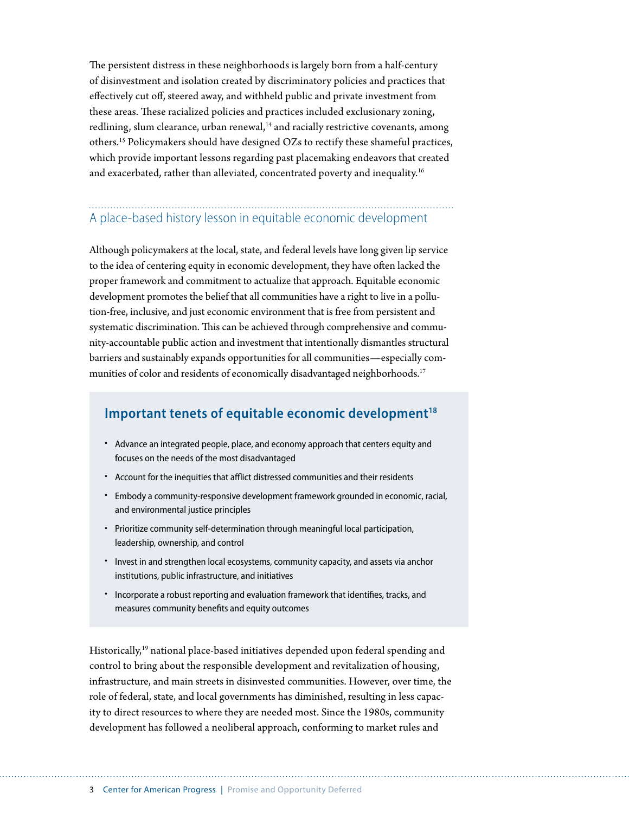The persistent distress in these neighborhoods is largely born from a half-century of disinvestment and isolation created by discriminatory policies and practices that effectively cut off, steered away, and withheld public and private investment from these areas. These racialized policies and practices included exclusionary zoning, redlining, slum clearance, urban renewal,<sup>14</sup> and racially restrictive covenants, among others.15 Policymakers should have designed OZs to rectify these shameful practices, which provide important lessons regarding past placemaking endeavors that created and exacerbated, rather than alleviated, concentrated poverty and inequality.<sup>16</sup>

## A place-based history lesson in equitable economic development

Although policymakers at the local, state, and federal levels have long given lip service to the idea of centering equity in economic development, they have often lacked the proper framework and commitment to actualize that approach. Equitable economic development promotes the belief that all communities have a right to live in a pollution-free, inclusive, and just economic environment that is free from persistent and systematic discrimination. This can be achieved through comprehensive and community-accountable public action and investment that intentionally dismantles structural barriers and sustainably expands opportunities for all communities—especially communities of color and residents of economically disadvantaged neighborhoods.<sup>17</sup>

## Important tenets of equitable economic development<sup>18</sup>

- Advance an integrated people, place, and economy approach that centers equity and focuses on the needs of the most disadvantaged
- Account for the inequities that afflict distressed communities and their residents
- Embody a community-responsive development framework grounded in economic, racial, and environmental justice principles
- Prioritize community self-determination through meaningful local participation, leadership, ownership, and control
- Invest in and strengthen local ecosystems, community capacity, and assets via anchor institutions, public infrastructure, and initiatives
- Incorporate a robust reporting and evaluation framework that identifies, tracks, and measures community benefits and equity outcomes

Historically,<sup>19</sup> national place-based initiatives depended upon federal spending and control to bring about the responsible development and revitalization of housing, infrastructure, and main streets in disinvested communities. However, over time, the role of federal, state, and local governments has diminished, resulting in less capacity to direct resources to where they are needed most. Since the 1980s, community development has followed a neoliberal approach, conforming to market rules and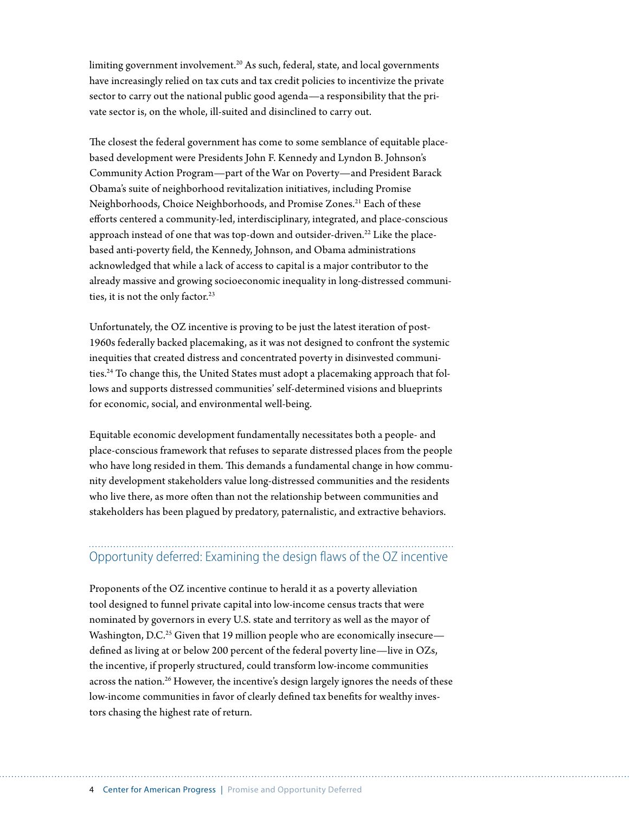limiting government involvement.<sup>20</sup> As such, federal, state, and local governments have increasingly relied on tax cuts and tax credit policies to incentivize the private sector to carry out the national public good agenda—a responsibility that the private sector is, on the whole, ill-suited and disinclined to carry out.

The closest the federal government has come to some semblance of equitable placebased development were Presidents John F. Kennedy and Lyndon B. Johnson's Community Action Program—part of the War on Poverty—and President Barack Obama's suite of neighborhood revitalization initiatives, including Promise Neighborhoods, Choice Neighborhoods, and Promise Zones.<sup>21</sup> Each of these efforts centered a community-led, interdisciplinary, integrated, and place-conscious approach instead of one that was top-down and outsider-driven.<sup>22</sup> Like the placebased anti-poverty field, the Kennedy, Johnson, and Obama administrations acknowledged that while a lack of access to capital is a major contributor to the already massive and growing socioeconomic inequality in long-distressed communities, it is not the only factor.<sup>23</sup>

Unfortunately, the OZ incentive is proving to be just the latest iteration of post-1960s federally backed placemaking, as it was not designed to confront the systemic inequities that created distress and concentrated poverty in disinvested communities.<sup>24</sup> To change this, the United States must adopt a placemaking approach that follows and supports distressed communities' self-determined visions and blueprints for economic, social, and environmental well-being.

Equitable economic development fundamentally necessitates both a people- and place-conscious framework that refuses to separate distressed places from the people who have long resided in them. This demands a fundamental change in how community development stakeholders value long-distressed communities and the residents who live there, as more often than not the relationship between communities and stakeholders has been plagued by predatory, paternalistic, and extractive behaviors.

## Opportunity deferred: Examining the design flaws of the OZ incentive

Proponents of the OZ incentive continue to herald it as a poverty alleviation tool designed to funnel private capital into low-income census tracts that were nominated by governors in every U.S. state and territory as well as the mayor of Washington, D.C.<sup>25</sup> Given that 19 million people who are economically insecure defined as living at or below 200 percent of the federal poverty line—live in OZs, the incentive, if properly structured, could transform low-income communities across the nation.<sup>26</sup> However, the incentive's design largely ignores the needs of these low-income communities in favor of clearly defined tax benefits for wealthy investors chasing the highest rate of return.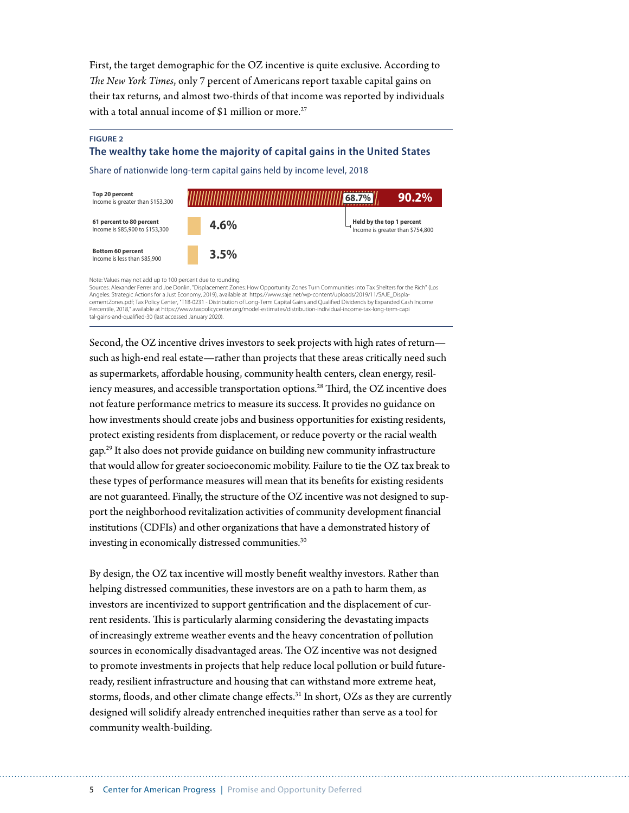First, the target demographic for the OZ incentive is quite exclusive. According to *The New York Times*, only 7 percent of Americans report taxable capital gains on their tax returns, and almost two-thirds of that income was reported by individuals with a total annual income of \$1 million or more.<sup>27</sup>

#### **FIGURE 2**

#### **The wealthy take home the majority of capital gains in the United States**

Share of nationwide long-term capital gains held by income level, 2018

| Top 20 percent<br>Income is greater than \$153,300          |      | $90.2\%$<br>68.7%                                             |
|-------------------------------------------------------------|------|---------------------------------------------------------------|
| 61 percent to 80 percent<br>Income is \$85,900 to \$153,300 | 4.6% | Held by the top 1 percent<br>Income is greater than \$754,800 |
| <b>Bottom 60 percent</b><br>Income is less than \$85,900    | 3.5% |                                                               |

Note: Values may not add up to 100 percent due to rounding.

Sources: Alexander Ferrer and Joe Donlin, "Displacement Zones: How Opportunity Zones Turn Communities into Tax Shelters for the Rich" (Los Angeles: Strategic Actions for a Just Economy, 2019), available at https://www.saje.net/wp-content/uploads/2019/11/SAJE\_Displa-<br>cementZones.pdf; Tax Policy Center, "T18-0231 - Distribution of Long-Term Capital Gains and Q Percentile, 2018," available at https://www.taxpolicycenter.org/model-estimates/distribution-individual-income-tax-long-term-capi tal-gains-and-qualified-30 (last accessed January 2020).

Second, the OZ incentive drives investors to seek projects with high rates of return such as high-end real estate—rather than projects that these areas critically need such as supermarkets, affordable housing, community health centers, clean energy, resiliency measures, and accessible transportation options.<sup>28</sup> Third, the OZ incentive does not feature performance metrics to measure its success. It provides no guidance on how investments should create jobs and business opportunities for existing residents, protect existing residents from displacement, or reduce poverty or the racial wealth gap.29 It also does not provide guidance on building new community infrastructure that would allow for greater socioeconomic mobility. Failure to tie the OZ tax break to these types of performance measures will mean that its benefits for existing residents are not guaranteed. Finally, the structure of the OZ incentive was not designed to support the neighborhood revitalization activities of community development financial institutions (CDFIs) and other organizations that have a demonstrated history of investing in economically distressed communities.<sup>30</sup>

By design, the OZ tax incentive will mostly benefit wealthy investors. Rather than helping distressed communities, these investors are on a path to harm them, as investors are incentivized to support gentrification and the displacement of current residents. This is particularly alarming considering the devastating impacts of increasingly extreme weather events and the heavy concentration of pollution sources in economically disadvantaged areas. The OZ incentive was not designed to promote investments in projects that help reduce local pollution or build futureready, resilient infrastructure and housing that can withstand more extreme heat, storms, floods, and other climate change effects.<sup>31</sup> In short, OZs as they are currently designed will solidify already entrenched inequities rather than serve as a tool for community wealth-building.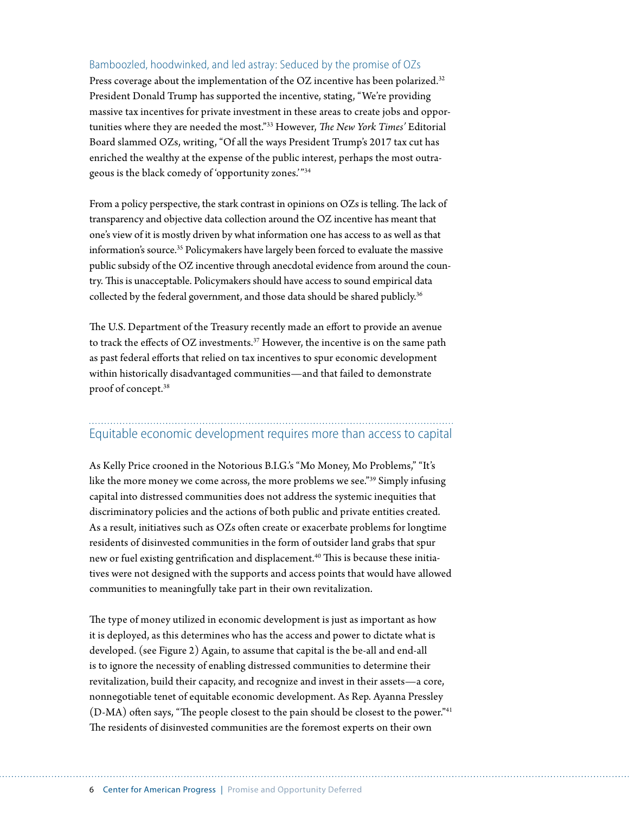#### Bamboozled, hoodwinked, and led astray: Seduced by the promise of OZs

Press coverage about the implementation of the OZ incentive has been polarized.<sup>32</sup> President Donald Trump has supported the incentive, stating, "We're providing massive tax incentives for private investment in these areas to create jobs and opportunities where they are needed the most."33 However, *The New York Times'* Editorial Board slammed OZs, writing, "Of all the ways President Trump's 2017 tax cut has enriched the wealthy at the expense of the public interest, perhaps the most outrageous is the black comedy of 'opportunity zones.'"34

From a policy perspective, the stark contrast in opinions on OZs is telling. The lack of transparency and objective data collection around the OZ incentive has meant that one's view of it is mostly driven by what information one has access to as well as that information's source.35 Policymakers have largely been forced to evaluate the massive public subsidy of the OZ incentive through anecdotal evidence from around the country. This is unacceptable. Policymakers should have access to sound empirical data collected by the federal government, and those data should be shared publicly.<sup>36</sup>

The U.S. Department of the Treasury recently made an effort to provide an avenue to track the effects of OZ investments.<sup>37</sup> However, the incentive is on the same path as past federal efforts that relied on tax incentives to spur economic development within historically disadvantaged communities—and that failed to demonstrate proof of concept.38

#### Equitable economic development requires more than access to capital

As Kelly Price crooned in the Notorious B.I.G.'s "Mo Money, Mo Problems," "It's like the more money we come across, the more problems we see."39 Simply infusing capital into distressed communities does not address the systemic inequities that discriminatory policies and the actions of both public and private entities created. As a result, initiatives such as OZs often create or exacerbate problems for longtime residents of disinvested communities in the form of outsider land grabs that spur new or fuel existing gentrification and displacement.<sup>40</sup> This is because these initiatives were not designed with the supports and access points that would have allowed communities to meaningfully take part in their own revitalization.

The type of money utilized in economic development is just as important as how it is deployed, as this determines who has the access and power to dictate what is developed. (see Figure 2) Again, to assume that capital is the be-all and end-all is to ignore the necessity of enabling distressed communities to determine their revitalization, build their capacity, and recognize and invest in their assets—a core, nonnegotiable tenet of equitable economic development. As Rep. Ayanna Pressley (D-MA) often says, "The people closest to the pain should be closest to the power."41 The residents of disinvested communities are the foremost experts on their own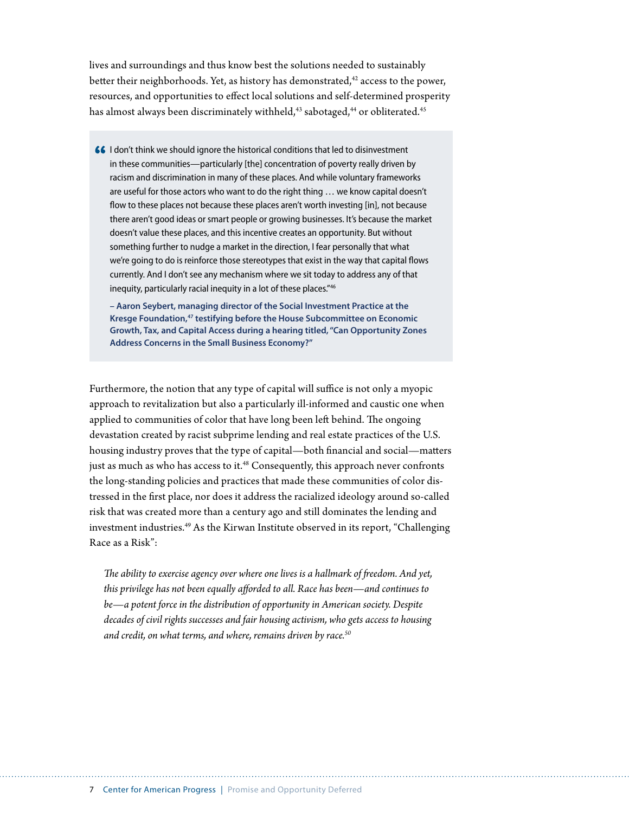lives and surroundings and thus know best the solutions needed to sustainably better their neighborhoods. Yet, as history has demonstrated, $42$  access to the power, resources, and opportunities to effect local solutions and self-determined prosperity has almost always been discriminately withheld,<sup>43</sup> sabotaged,<sup>44</sup> or obliterated.<sup>45</sup>

66 I don't think we should ignore the historical conditions that led to disinvestment in these communities—particularly [the] concentration of poverty really driven by racism and discrimination in many of these places. And while voluntary frameworks are useful for those actors who want to do the right thing … we know capital doesn't flow to these places not because these places aren't worth investing [in], not because there aren't good ideas or smart people or growing businesses. It's because the market doesn't value these places, and this incentive creates an opportunity. But without something further to nudge a market in the direction, I fear personally that what we're going to do is reinforce those stereotypes that exist in the way that capital flows currently. And I don't see any mechanism where we sit today to address any of that inequity, particularly racial inequity in a lot of these places."46

**– Aaron Seybert, managing director of the Social Investment Practice at the Kresge Foundation,47 testifying before the House Subcommittee on Economic Growth, Tax, and Capital Access during a hearing titled, "Can Opportunity Zones Address Concerns in the Small Business Economy?"**

Furthermore, the notion that any type of capital will suffice is not only a myopic approach to revitalization but also a particularly ill-informed and caustic one when applied to communities of color that have long been left behind. The ongoing devastation created by racist subprime lending and real estate practices of the U.S. housing industry proves that the type of capital—both financial and social—matters just as much as who has access to it.<sup>48</sup> Consequently, this approach never confronts the long-standing policies and practices that made these communities of color distressed in the first place, nor does it address the racialized ideology around so-called risk that was created more than a century ago and still dominates the lending and investment industries.<sup>49</sup> As the Kirwan Institute observed in its report, "Challenging Race as a Risk":

*The ability to exercise agency over where one lives is a hallmark of freedom. And yet, this privilege has not been equally afforded to all. Race has been—and continues to be—a potent force in the distribution of opportunity in American society. Despite decades of civil rights successes and fair housing activism, who gets access to housing and credit, on what terms, and where, remains driven by race.50*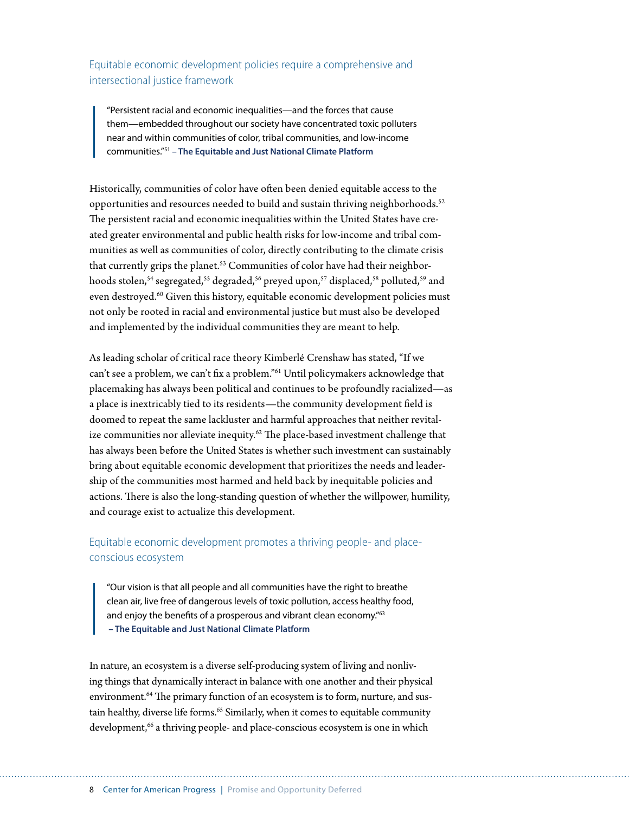Equitable economic development policies require a comprehensive and intersectional justice framework

"Persistent racial and economic inequalities—and the forces that cause them—embedded throughout our society have concentrated toxic polluters near and within communities of color, tribal communities, and low-income communities."51 **– The Equitable and Just National Climate Platform**

Historically, communities of color have often been denied equitable access to the opportunities and resources needed to build and sustain thriving neighborhoods.<sup>52</sup> The persistent racial and economic inequalities within the United States have created greater environmental and public health risks for low-income and tribal communities as well as communities of color, directly contributing to the climate crisis that currently grips the planet.<sup>53</sup> Communities of color have had their neighborhoods stolen,<sup>54</sup> segregated,<sup>55</sup> degraded,<sup>56</sup> preyed upon,<sup>57</sup> displaced,<sup>58</sup> polluted,<sup>59</sup> and even destroyed.<sup>60</sup> Given this history, equitable economic development policies must not only be rooted in racial and environmental justice but must also be developed and implemented by the individual communities they are meant to help.

As leading scholar of critical race theory Kimberlé Crenshaw has stated, "If we can't see a problem, we can't fix a problem."61 Until policymakers acknowledge that placemaking has always been political and continues to be profoundly racialized—as a place is inextricably tied to its residents—the community development field is doomed to repeat the same lackluster and harmful approaches that neither revitalize communities nor alleviate inequity.<sup>62</sup> The place-based investment challenge that has always been before the United States is whether such investment can sustainably bring about equitable economic development that prioritizes the needs and leadership of the communities most harmed and held back by inequitable policies and actions. There is also the long-standing question of whether the willpower, humility, and courage exist to actualize this development.

#### Equitable economic development promotes a thriving people- and placeconscious ecosystem

"Our vision is that all people and all communities have the right to breathe clean air, live free of dangerous levels of toxic pollution, access healthy food, and enjoy the benefits of a prosperous and vibrant clean economy."<sup>63</sup> **– The Equitable and Just National Climate Platform**

In nature, an ecosystem is a diverse self-producing system of living and nonliving things that dynamically interact in balance with one another and their physical environment.<sup>64</sup> The primary function of an ecosystem is to form, nurture, and sustain healthy, diverse life forms.<sup>65</sup> Similarly, when it comes to equitable community development,<sup>66</sup> a thriving people- and place-conscious ecosystem is one in which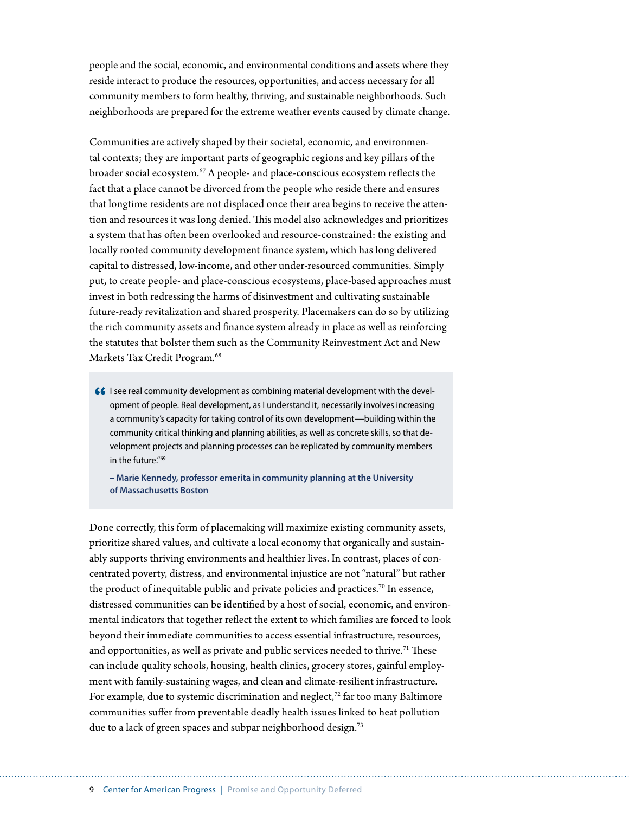people and the social, economic, and environmental conditions and assets where they reside interact to produce the resources, opportunities, and access necessary for all community members to form healthy, thriving, and sustainable neighborhoods. Such neighborhoods are prepared for the extreme weather events caused by climate change.

Communities are actively shaped by their societal, economic, and environmental contexts; they are important parts of geographic regions and key pillars of the broader social ecosystem.<sup>67</sup> A people- and place-conscious ecosystem reflects the fact that a place cannot be divorced from the people who reside there and ensures that longtime residents are not displaced once their area begins to receive the attention and resources it was long denied. This model also acknowledges and prioritizes a system that has often been overlooked and resource-constrained: the existing and locally rooted community development finance system, which has long delivered capital to distressed, low-income, and other under-resourced communities. Simply put, to create people- and place-conscious ecosystems, place-based approaches must invest in both redressing the harms of disinvestment and cultivating sustainable future-ready revitalization and shared prosperity. Placemakers can do so by utilizing the rich community assets and finance system already in place as well as reinforcing the statutes that bolster them such as the Community Reinvestment Act and New Markets Tax Credit Program.<sup>68</sup>

66 I see real community development as combining material development with the development of people. Real development, as I understand it, necessarily involves increasing a community's capacity for taking control of its own development—building within the community critical thinking and planning abilities, as well as concrete skills, so that development projects and planning processes can be replicated by community members in the future."69

**– Marie Kennedy, professor emerita in community planning at the University of Massachusetts Boston**

Done correctly, this form of placemaking will maximize existing community assets, prioritize shared values, and cultivate a local economy that organically and sustainably supports thriving environments and healthier lives. In contrast, places of concentrated poverty, distress, and environmental injustice are not "natural" but rather the product of inequitable public and private policies and practices.<sup>70</sup> In essence, distressed communities can be identified by a host of social, economic, and environmental indicators that together reflect the extent to which families are forced to look beyond their immediate communities to access essential infrastructure, resources, and opportunities, as well as private and public services needed to thrive.<sup>71</sup> These can include quality schools, housing, health clinics, grocery stores, gainful employment with family-sustaining wages, and clean and climate-resilient infrastructure. For example, due to systemic discrimination and neglect, $72$  far too many Baltimore communities suffer from preventable deadly health issues linked to heat pollution due to a lack of green spaces and subpar neighborhood design.<sup>73</sup>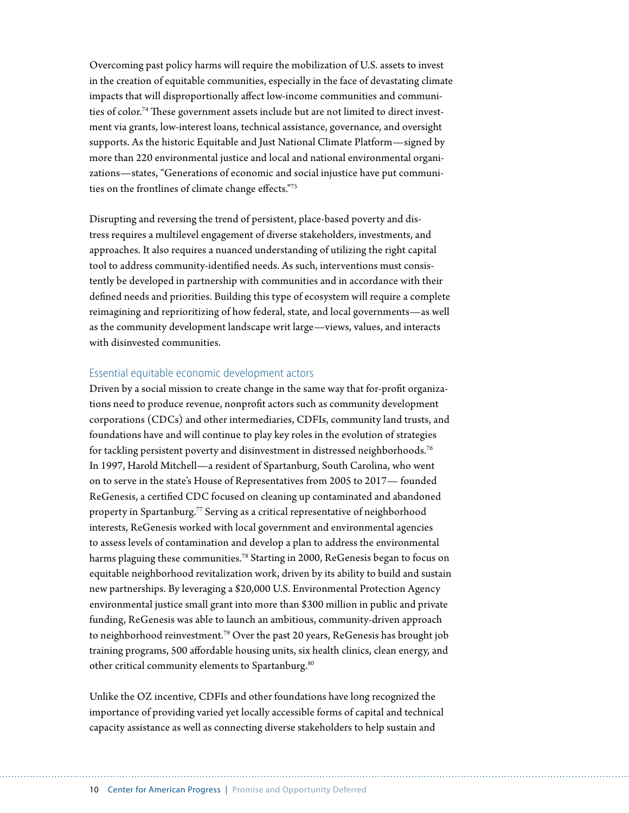Overcoming past policy harms will require the mobilization of U.S. assets to invest in the creation of equitable communities, especially in the face of devastating climate impacts that will disproportionally affect low-income communities and communities of color.74 These government assets include but are not limited to direct investment via grants, low-interest loans, technical assistance, governance, and oversight supports. As the historic Equitable and Just National Climate Platform—signed by more than 220 environmental justice and local and national environmental organizations—states, "Generations of economic and social injustice have put communities on the frontlines of climate change effects."75

Disrupting and reversing the trend of persistent, place-based poverty and distress requires a multilevel engagement of diverse stakeholders, investments, and approaches. It also requires a nuanced understanding of utilizing the right capital tool to address community-identified needs. As such, interventions must consistently be developed in partnership with communities and in accordance with their defined needs and priorities. Building this type of ecosystem will require a complete reimagining and reprioritizing of how federal, state, and local governments—as well as the community development landscape writ large—views, values, and interacts with disinvested communities.

#### Essential equitable economic development actors

Driven by a social mission to create change in the same way that for-profit organizations need to produce revenue, nonprofit actors such as community development corporations (CDCs) and other intermediaries, CDFIs, community land trusts, and foundations have and will continue to play key roles in the evolution of strategies for tackling persistent poverty and disinvestment in distressed neighborhoods.<sup>76</sup> In 1997, Harold Mitchell—a resident of Spartanburg, South Carolina, who went on to serve in the state's House of Representatives from 2005 to 2017— founded ReGenesis, a certified CDC focused on cleaning up contaminated and abandoned property in Spartanburg.<sup>77</sup> Serving as a critical representative of neighborhood interests, ReGenesis worked with local government and environmental agencies to assess levels of contamination and develop a plan to address the environmental harms plaguing these communities.<sup>78</sup> Starting in 2000, ReGenesis began to focus on equitable neighborhood revitalization work, driven by its ability to build and sustain new partnerships. By leveraging a \$20,000 U.S. Environmental Protection Agency environmental justice small grant into more than \$300 million in public and private funding, ReGenesis was able to launch an ambitious, community-driven approach to neighborhood reinvestment.<sup>79</sup> Over the past 20 years, ReGenesis has brought job training programs, 500 affordable housing units, six health clinics, clean energy, and other critical community elements to Spartanburg.<sup>80</sup>

Unlike the OZ incentive, CDFIs and other foundations have long recognized the importance of providing varied yet locally accessible forms of capital and technical capacity assistance as well as connecting diverse stakeholders to help sustain and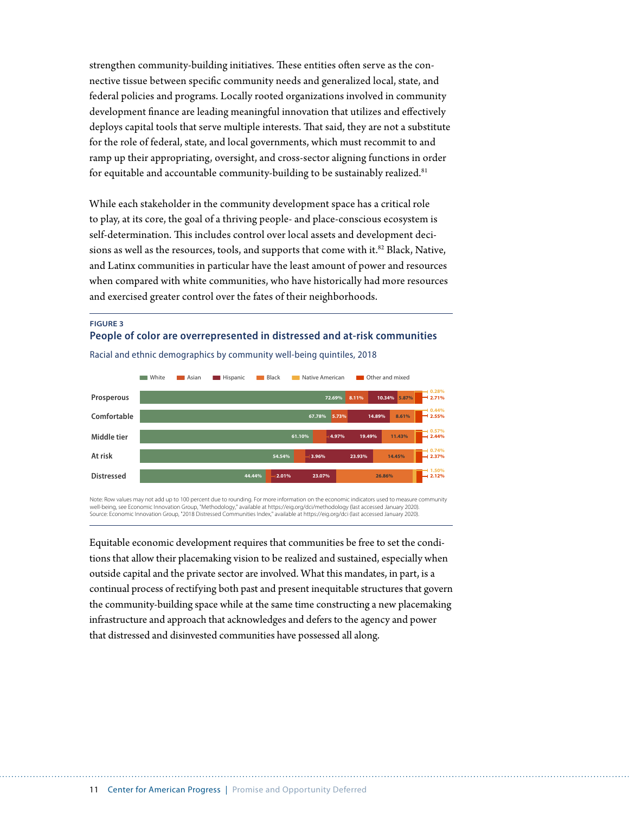strengthen community-building initiatives. These entities often serve as the connective tissue between specific community needs and generalized local, state, and federal policies and programs. Locally rooted organizations involved in community development finance are leading meaningful innovation that utilizes and effectively deploys capital tools that serve multiple interests. That said, they are not a substitute for the role of federal, state, and local governments, which must recommit to and ramp up their appropriating, oversight, and cross-sector aligning functions in order for equitable and accountable community-building to be sustainably realized.<sup>81</sup>

While each stakeholder in the community development space has a critical role to play, at its core, the goal of a thriving people- and place-conscious ecosystem is self-determination. This includes control over local assets and development decisions as well as the resources, tools, and supports that come with it.<sup>82</sup> Black, Native, and Latinx communities in particular have the least amount of power and resources when compared with white communities, who have historically had more resources and exercised greater control over the fates of their neighborhoods.

#### **FIGURE 3 People of color are overrepresented in distressed and at-risk communities**



Racial and ethnic demographics by community well-being quintiles, 2018

Note: Row values may not add up to 100 percent due to rounding. For more information on the economic indicators used to measure community well-being, see Economic Innovation Group, "Methodology," available at https://eig.org/dci/methodology (last accessed January 2020). Source: Economic Innovation Group, "2018 Distressed Communities Index," available at https://eig.org/dci (last accessed January 2020).

Equitable economic development requires that communities be free to set the conditions that allow their placemaking vision to be realized and sustained, especially when outside capital and the private sector are involved. What this mandates, in part, is a continual process of rectifying both past and present inequitable structures that govern the community-building space while at the same time constructing a new placemaking infrastructure and approach that acknowledges and defers to the agency and power that distressed and disinvested communities have possessed all along.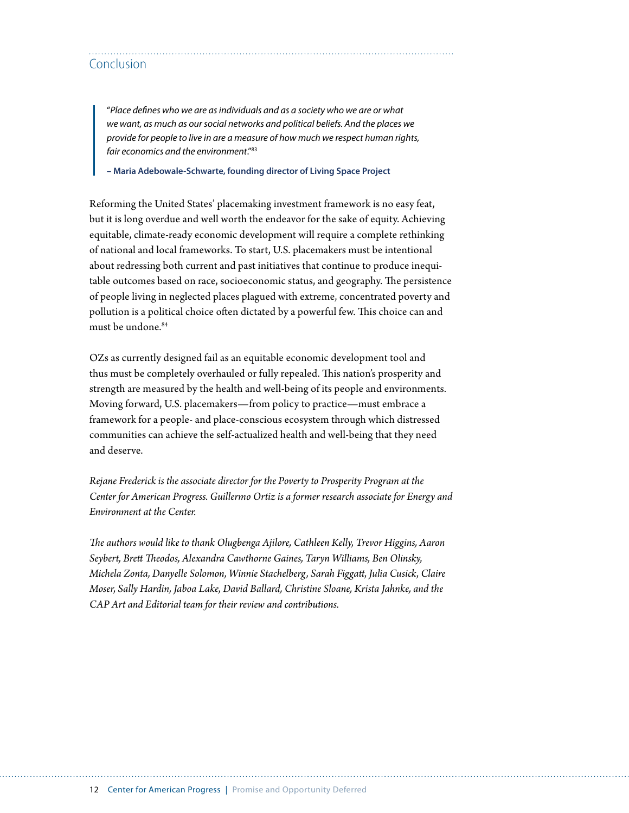## Conclusion

"*Place defines who we are as individuals and as a society who we are or what we want, as much as our social networks and political beliefs. And the places we provide for people to live in are a measure of how much we respect human rights, fair economics and the environment*."83

**– Maria Adebowale-Schwarte, founding director of Living Space Project**

Reforming the United States' placemaking investment framework is no easy feat, but it is long overdue and well worth the endeavor for the sake of equity. Achieving equitable, climate-ready economic development will require a complete rethinking of national and local frameworks. To start, U.S. placemakers must be intentional about redressing both current and past initiatives that continue to produce inequitable outcomes based on race, socioeconomic status, and geography. The persistence of people living in neglected places plagued with extreme, concentrated poverty and pollution is a political choice often dictated by a powerful few. This choice can and must be undone.<sup>84</sup>

OZs as currently designed fail as an equitable economic development tool and thus must be completely overhauled or fully repealed. This nation's prosperity and strength are measured by the health and well-being of its people and environments. Moving forward, U.S. placemakers—from policy to practice—must embrace a framework for a people- and place-conscious ecosystem through which distressed communities can achieve the self-actualized health and well-being that they need and deserve.

*Rejane Frederick is the associate director for the Poverty to Prosperity Program at the Center for American Progress. Guillermo Ortiz is a former research associate for Energy and Environment at the Center.*

*The authors would like to thank Olugbenga Ajilore, Cathleen Kelly, Trevor Higgins, Aaron Seybert, Brett Theodos, Alexandra Cawthorne Gaines, Taryn Williams, Ben Olinsky, Michela Zonta, Danyelle Solomon, Winnie Stachelberg, Sarah Figgatt, Julia Cusick, Claire Moser, Sally Hardin, Jaboa Lake, David Ballard, Christine Sloane, Krista Jahnke, and the CAP Art and Editorial team for their review and contributions.*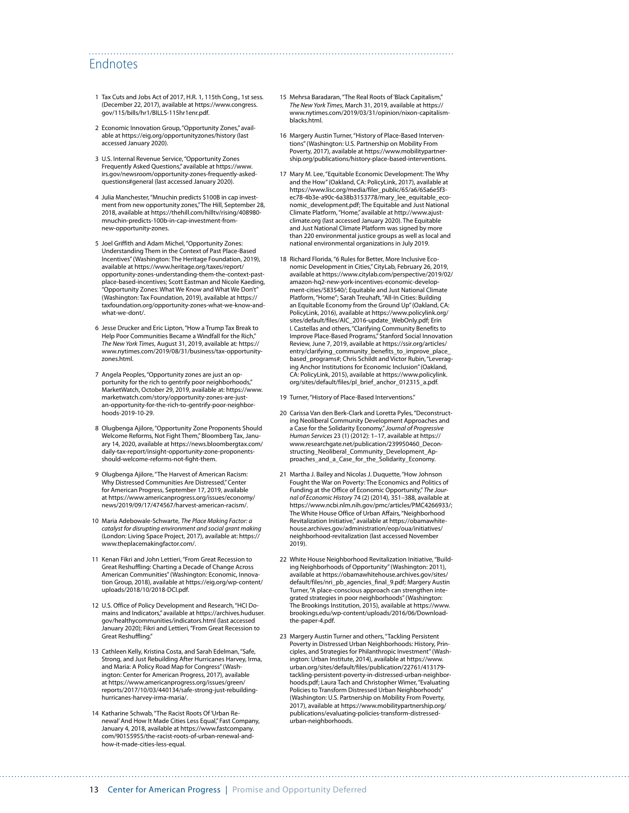## Endnotes

- 1 Tax Cuts and Jobs Act of 2017, H.R. 1, 115th Cong., 1st sess. (December 22, 2017), available at [https://www.congress.](https://www.congress.gov/115/bills/hr1/BILLS-115hr1enr.pdf) [gov/115/bills/hr1/BILLS-115hr1enr.pdf.](https://www.congress.gov/115/bills/hr1/BILLS-115hr1enr.pdf)
- 2 Economic Innovation Group, "Opportunity Zones," available at <https://eig.org/opportunityzones/history> (last accessed January 2020).
- 3 U.S. Internal Revenue Service, "Opportunity Zones Frequently Asked Questions," available at https://www. irs.gov/newsroom/opportunity-zones-frequently-askedquestions#general (last accessed January 2020).
- 4 Julia Manchester, "Mnuchin predicts \$100B in cap investment from new opportunity zones," The Hill, September 28, 2018, available at [https://thehill.com/hilltv/rising/408980](https://thehill.com/hilltv/rising/408980-mnuchin-predicts-100b-in-cap-investment-from-new-opportunity-zones) [mnuchin-predicts-100b-in-cap-investment-from](https://thehill.com/hilltv/rising/408980-mnuchin-predicts-100b-in-cap-investment-from-new-opportunity-zones)[new-opportunity-zones](https://thehill.com/hilltv/rising/408980-mnuchin-predicts-100b-in-cap-investment-from-new-opportunity-zones).
- 5 Joel Griffith and Adam Michel, "Opportunity Zones: Understanding Them in the Context of Past Place-Based Incentives" (Washington: The Heritage Foundation, 2019), available at [https://www.heritage.org/taxes/report/](https://www.heritage.org/taxes/report/opportunity-zones-understanding-them-the-context-past-place-based-incentives) [opportunity-zones-understanding-them-the-context-past](https://www.heritage.org/taxes/report/opportunity-zones-understanding-them-the-context-past-place-based-incentives)[place-based-incentives](https://www.heritage.org/taxes/report/opportunity-zones-understanding-them-the-context-past-place-based-incentives); Scott Eastman and Nicole Kaeding, "Opportunity Zones: What We Know and What We Don't" (Washington: Tax Foundation, 2019), available at [https://](https://taxfoundation.org/opportunity-zones-what-we-know-and-what-we-dont/) [taxfoundation.org/opportunity-zones-what-we-know-and](https://taxfoundation.org/opportunity-zones-what-we-know-and-what-we-dont/)[what-we-dont/](https://taxfoundation.org/opportunity-zones-what-we-know-and-what-we-dont/).
- 6 Jesse Drucker and Eric Lipton, "How a Trump Tax Break to Help Poor Communities Became a Windfall for the Rich," *The New York Times*, August 31, 2019, available at: https:// www.nytimes.com/2019/08/31/business/tax-opportunityzones.html.
- 7 Angela Peoples, "Opportunity zones are just an opportunity for the rich to gentrify poor neighborhoods," MarketWatch, October 29, 2019, available at: [https://www.](https://www.marketwatch.com/story/opportunity-zones-are-just-an-opportunity-for-the-rich-to-gentrify-poor-neighborhoods-2019-10-29) [marketwatch.com/story/opportunity-zones-are-just](https://www.marketwatch.com/story/opportunity-zones-are-just-an-opportunity-for-the-rich-to-gentrify-poor-neighborhoods-2019-10-29)[an-opportunity-for-the-rich-to-gentrify-poor-neighbor](https://www.marketwatch.com/story/opportunity-zones-are-just-an-opportunity-for-the-rich-to-gentrify-poor-neighborhoods-2019-10-29)[hoods-2019-10-29.](https://www.marketwatch.com/story/opportunity-zones-are-just-an-opportunity-for-the-rich-to-gentrify-poor-neighborhoods-2019-10-29)
- 8 Olugbenga Ajilore, "Opportunity Zone Proponents Should Welcome Reforms, Not Fight Them," Bloomberg Tax, January 14, 2020, available at [https://news.bloombergtax.com/](https://news.bloombergtax.com/daily-tax-report/insight-opportunity-zone-proponents-should-welcome-reforms-not-fight-them) [daily-tax-report/insight-opportunity-zone-proponents](https://news.bloombergtax.com/daily-tax-report/insight-opportunity-zone-proponents-should-welcome-reforms-not-fight-them)[should-welcome-reforms-not-fight-them.](https://news.bloombergtax.com/daily-tax-report/insight-opportunity-zone-proponents-should-welcome-reforms-not-fight-them)
- 9 Olugbenga Ajilore, "The Harvest of American Racism: Why Distressed Communities Are Distressed," Center for American Progress, September 17, 2019, available at [https://www.americanprogress.org/issues/economy/](https://www.americanprogress.org/issues/economy/news/2019/09/17/474567/harvest-american-racism/) [news/2019/09/17/474567/harvest-american-racism/](https://www.americanprogress.org/issues/economy/news/2019/09/17/474567/harvest-american-racism/).
- 10 Maria Adebowale-Schwarte, *The Place Making Factor: a catalyst for disrupting environment and social grant making* (London: Living Space Project, 2017), available at: [https://](https://www.theplacemakingfactor.com/) [www.theplacemakingfactor.com/.](https://www.theplacemakingfactor.com/)
- 11 Kenan Fikri and John Lettieri, "From Great Recession to Great Reshuffling: Charting a Decade of Change Across American Communities" (Washington: Economic, Innovation Group, 2018), available at [https://eig.org/wp-content/](https://eig.org/wp-content/uploads/2018/10/2018-DCI.pdf) [uploads/2018/10/2018-DCI.pdf.](https://eig.org/wp-content/uploads/2018/10/2018-DCI.pdf)
- 12 U.S. Office of Policy Development and Research, "HCI Domains and Indicators," available at [https://archives.huduser.](https://archives.huduser.gov/healthycommunities/indicators.html) [gov/healthycommunities/indicators.html](https://archives.huduser.gov/healthycommunities/indicators.html) (last accessed January 2020); Fikri and Lettieri, "From Great Recession to Great Reshuffling."
- 13 Cathleen Kelly, Kristina Costa, and Sarah Edelman, "Safe, Strong, and Just Rebuilding After Hurricanes Harvey, Irma, and Maria: A Policy Road Map for Congress" (Washington: Center for American Progress, 2017), available at [https://www.americanprogress.org/issues/green/](https://www.americanprogress.org/issues/green/reports/2017/10/03/440134/safe-strong-just-rebuilding-hurricanes-harvey-irma-maria/) [reports/2017/10/03/440134/safe-strong-just-rebuilding](https://www.americanprogress.org/issues/green/reports/2017/10/03/440134/safe-strong-just-rebuilding-hurricanes-harvey-irma-maria/)[hurricanes-harvey-irma-maria/.](https://www.americanprogress.org/issues/green/reports/2017/10/03/440134/safe-strong-just-rebuilding-hurricanes-harvey-irma-maria/)
- 14 Katharine Schwab, "The Racist Roots Of 'Urban Renewal' And How It Made Cities Less Equal," Fast Company, January 4, 2018, available at [https://www.fastcompany.](https://www.fastcompany.com/90155955/the-racist-roots-of-urban-renewal-and-how-it-made-cities-less-equal) [com/90155955/the-racist-roots-of-urban-renewal-and](https://www.fastcompany.com/90155955/the-racist-roots-of-urban-renewal-and-how-it-made-cities-less-equal)[how-it-made-cities-less-equal](https://www.fastcompany.com/90155955/the-racist-roots-of-urban-renewal-and-how-it-made-cities-less-equal).

15 Mehrsa Baradaran, "The Real Roots of 'Black Capitalism," *The New York Times*, March 31, 2019, available at [https://](https://www.nytimes.com/2019/03/31/opinion/nixon-capitalism-blacks.html) [www.nytimes.com/2019/03/31/opinion/nixon-capitalism](https://www.nytimes.com/2019/03/31/opinion/nixon-capitalism-blacks.html)[blacks.html.](https://www.nytimes.com/2019/03/31/opinion/nixon-capitalism-blacks.html)

- 16 Margery Austin Turner, "History of Place-Based Interventions" (Washington: U.S. Partnership on Mobility From Poverty, 2017), available at [https://www.mobilitypartner](https://www.mobilitypartnership.org/publications/history-place-based-interventions)[ship.org/publications/history-place-based-interventions.](https://www.mobilitypartnership.org/publications/history-place-based-interventions)
- 17 Mary M. Lee, "Equitable Economic Development: The Why and the How" (Oakland, CA: PolicyLink, 2017), available at [https://www.lisc.org/media/filer\\_public/65/a6/65a6e5f3](https://www.lisc.org/media/filer_public/65/a6/65a6e5f3-ec78-4b3e-a90c-6a38b3153778/mary_lee_equitable_economic_development.pdf) [ec78-4b3e-a90c-6a38b3153778/mary\\_lee\\_equitable\\_eco](https://www.lisc.org/media/filer_public/65/a6/65a6e5f3-ec78-4b3e-a90c-6a38b3153778/mary_lee_equitable_economic_development.pdf)[nomic\\_development.pdf;](https://www.lisc.org/media/filer_public/65/a6/65a6e5f3-ec78-4b3e-a90c-6a38b3153778/mary_lee_equitable_economic_development.pdf) The Equitable and Just National Climate Platform, "Home," available at [http://www.ajust](http://www.ajustclimate.org)[climate.org](http://www.ajustclimate.org) (last accessed January 2020). The Equitable and Just National Climate Platform was signed by more than 220 environmental justice groups as well as local and national environmental organizations in July 2019.
- 18 Richard Florida, "6 Rules for Better, More Inclusive Economic Development in Cities," CityLab, February 26, 2019, available at [https://www.citylab.com/perspective/2019/02/](https://www.citylab.com/perspective/2019/02/amazon-hq2-new-york-incentives-economic-development-cities/583540/) [amazon-hq2-new-york-incentives-economic-develop](https://www.citylab.com/perspective/2019/02/amazon-hq2-new-york-incentives-economic-development-cities/583540/)[ment-cities/583540/;](https://www.citylab.com/perspective/2019/02/amazon-hq2-new-york-incentives-economic-development-cities/583540/) Equitable and Just National Climate Platform, "Home"; Sarah Treuhaft, "All-In Cities: Building an Equitable Economy from the Ground Up" (Oakland, CA: PolicyLink, 2016), available at [https://www.policylink.org/](https://www.policylink.org/sites/default/files/AIC_2016-update_WebOnly.pdf) [sites/default/files/AIC\\_2016-update\\_WebOnly.pdf;](https://www.policylink.org/sites/default/files/AIC_2016-update_WebOnly.pdf) Erin I. Castellas and others, "Clarifying Community Benefits to Improve Place-Based Programs," Stanford Social Innovation Review, June 7, 2019, available at [https://ssir.org/articles/](https://ssir.org/articles/entry/clarifying_community_benefits_to_improve_place_based_programs) [entry/clarifying\\_community\\_benefits\\_to\\_improve\\_place\\_](https://ssir.org/articles/entry/clarifying_community_benefits_to_improve_place_based_programs) [based\\_programs#](https://ssir.org/articles/entry/clarifying_community_benefits_to_improve_place_based_programs); Chris Schildt and Victor Rubin, "Leveraging Anchor Institutions for Economic Inclusion" (Oakland, CA: PolicyLink, 2015), available at [https://www.policylink.](https://www.policylink.org/sites/default/files/pl_brief_anchor_012315_a.pdf) [org/sites/default/files/pl\\_brief\\_anchor\\_012315\\_a.pdf](https://www.policylink.org/sites/default/files/pl_brief_anchor_012315_a.pdf).
- 19 Turner, "History of Place-Based Interventions."
- 20 Carissa Van den Berk-Clark and Loretta Pyles, "Deconstructing Neoliberal Community Development Approaches and a Case for the Solidarity Economy," *Journal of Progressive Human Services* 23 (1) (2012): 1–17, available at [https://](https://www.researchgate.net/publication/239950460_Deconstructing_Neoliberal_Community_Development_Approaches_and_a_Case_for_the_Solidarity_Economy) [www.researchgate.net/publication/239950460\\_Decon](https://www.researchgate.net/publication/239950460_Deconstructing_Neoliberal_Community_Development_Approaches_and_a_Case_for_the_Solidarity_Economy)[structing\\_Neoliberal\\_Community\\_Development\\_Ap](https://www.researchgate.net/publication/239950460_Deconstructing_Neoliberal_Community_Development_Approaches_and_a_Case_for_the_Solidarity_Economy)[proaches\\_and\\_a\\_Case\\_for\\_the\\_Solidarity\\_Economy.](https://www.researchgate.net/publication/239950460_Deconstructing_Neoliberal_Community_Development_Approaches_and_a_Case_for_the_Solidarity_Economy)
- 21 Martha J. Bailey and Nicolas J. Duquette, "How Johnson Fought the War on Poverty: The Economics and Politics of Funding at the Office of Economic Opportunity," *The Journal of Economic History* 74 (2) (2014), 351–388, available at <https://www.ncbi.nlm.nih.gov/pmc/articles/PMC4266933/>; The White House Office of Urban Affairs, "Neighborhood Revitalization Initiative," available at [https://obamawhite](https://obamawhitehouse.archives.gov/administration/eop/oua/initiatives/neighborhood-revitalization)[house.archives.gov/administration/eop/oua/initiatives/](https://obamawhitehouse.archives.gov/administration/eop/oua/initiatives/neighborhood-revitalization) [neighborhood-revitalization](https://obamawhitehouse.archives.gov/administration/eop/oua/initiatives/neighborhood-revitalization) (last accessed November 2019).
- 22 White House Neighborhood Revitalization Initiative, "Building Neighborhoods of Opportunity" (Washington: 2011), available at [https://obamawhitehouse.archives.gov/sites/](https://obamawhitehouse.archives.gov/sites/default/files/nri_pb_agencies_final_9.pdf) [default/files/nri\\_pb\\_agencies\\_final\\_9.pdf;](https://obamawhitehouse.archives.gov/sites/default/files/nri_pb_agencies_final_9.pdf) Margery Austin Turner, "A place-conscious approach can strengthen integrated strategies in poor neighborhoods" (Washington: The Brookings Institution, 2015), available at [https://www.](https://www.brookings.edu/wp-content/uploads/2016/06/Download-the-paper-4.pdf) [brookings.edu/wp-content/uploads/2016/06/Download](https://www.brookings.edu/wp-content/uploads/2016/06/Download-the-paper-4.pdf)[the-paper-4.pdf.](https://www.brookings.edu/wp-content/uploads/2016/06/Download-the-paper-4.pdf)
- 23 Margery Austin Turner and others, "Tackling Persistent Poverty in Distressed Urban Neighborhoods: History, Principles, and Strategies for Philanthropic Investment" (Washington: Urban Institute, 2014), available at [https://www.](https://www.urban.org/sites/default/files/publication/22761/413179-tackling-persistent-poverty-in-distressed-urban-neighborhoods.pdf) [urban.org/sites/default/files/publication/22761/413179](https://www.urban.org/sites/default/files/publication/22761/413179-tackling-persistent-poverty-in-distressed-urban-neighborhoods.pdf) [tackling-persistent-poverty-in-distressed-urban-neighbor](https://www.urban.org/sites/default/files/publication/22761/413179-tackling-persistent-poverty-in-distressed-urban-neighborhoods.pdf)[hoods.pdf;](https://www.urban.org/sites/default/files/publication/22761/413179-tackling-persistent-poverty-in-distressed-urban-neighborhoods.pdf) Laura Tach and Christopher Wimer, "Evaluating Policies to Transform Distressed Urban Neighborhoods" (Washington: U.S. Partnership on Mobility From Poverty, 2017), available at [https://www.mobilitypartnership.org/](https://www.mobilitypartnership.org/publications/evaluating-policies-transform-distressed-urban-neighborhoods) [publications/evaluating-policies-transform-distressed](https://www.mobilitypartnership.org/publications/evaluating-policies-transform-distressed-urban-neighborhoods)[urban-neighborhoods](https://www.mobilitypartnership.org/publications/evaluating-policies-transform-distressed-urban-neighborhoods).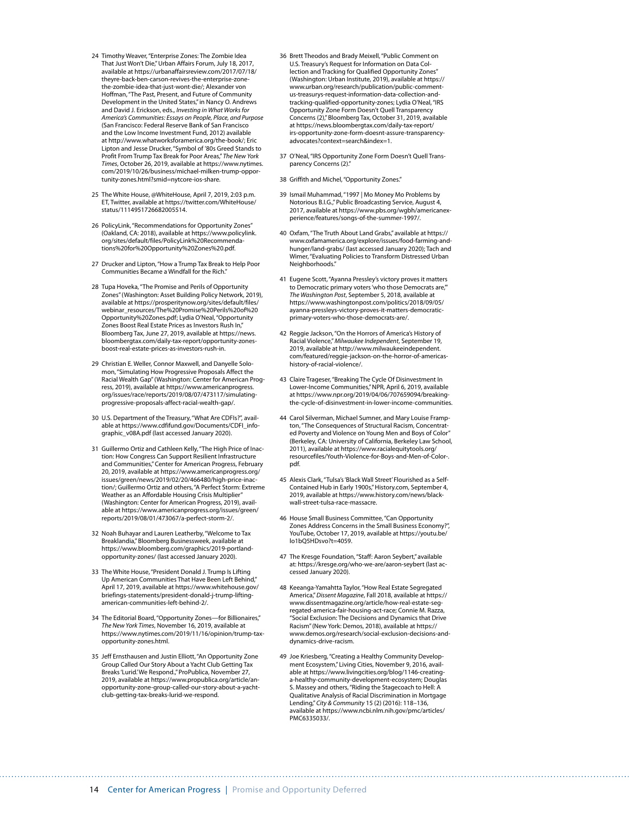- 24 Timothy Weaver, "Enterprise Zones: The Zombie Idea That Just Won't Die," Urban Affairs Forum, July 18, 2017, available at [https://urbanaffairsreview.com/2017/07/18/](https://urbanaffairsreview.com/2017/07/18/theyre-back-ben-carson-revives-the-enterprise-zone-the-zombie-idea-that-just-wont-die/) [theyre-back-ben-carson-revives-the-enterprise-zone](https://urbanaffairsreview.com/2017/07/18/theyre-back-ben-carson-revives-the-enterprise-zone-the-zombie-idea-that-just-wont-die/)[the-zombie-idea-that-just-wont-die/;](https://urbanaffairsreview.com/2017/07/18/theyre-back-ben-carson-revives-the-enterprise-zone-the-zombie-idea-that-just-wont-die/) Alexander von Hoffman, "The Past, Present, and Future of Community Development in the United States," in Nancy O. Andrews and David J. Erickson, eds., *Investing in What Works for America's Communities: Essays on People, Place, and Purpose*  (San Francisco: Federal Reserve Bank of San Francisco and the Low Income Investment Fund, 2012) available at [http://www.whatworksforamerica.org/the-book/;](http://www.whatworksforamerica.org/the-book/) Eric Lipton and Jesse Drucker, "Symbol of '80s Greed Stands to Profit From Trump Tax Break for Poor Areas," *The New York Times*, October 26, 2019, available at [https://www.nytimes.](https://www.nytimes.com/2019/10/26/business/michael-milken-trump-opportunity-zones.html?smid=nytcore-ios-share) [com/2019/10/26/business/michael-milken-trump-oppor](https://www.nytimes.com/2019/10/26/business/michael-milken-trump-opportunity-zones.html?smid=nytcore-ios-share)[tunity-zones.html?smid=nytcore-ios-share](https://www.nytimes.com/2019/10/26/business/michael-milken-trump-opportunity-zones.html?smid=nytcore-ios-share).
- 25 The White House, @WhiteHouse, April 7, 2019, 2:03 p.m. ET, Twitter, available at [https://twitter.com/WhiteHouse/](https://twitter.com/WhiteHouse/status/1114951726682005514) [status/1114951726682005514.](https://twitter.com/WhiteHouse/status/1114951726682005514)
- 26 PolicyLink, "Recommendations for Opportunity Zones" (Oakland, CA: 2018), available at [https://www.policylink.](https://www.policylink.org/sites/default/files/PolicyLink%20Recommendations%20for%20Opportunity%20Zones%20.pdf) [org/sites/default/files/PolicyLink%20Recommenda](https://www.policylink.org/sites/default/files/PolicyLink%20Recommendations%20for%20Opportunity%20Zones%20.pdf)[tions%20for%20Opportunity%20Zones%20.pdf.](https://www.policylink.org/sites/default/files/PolicyLink%20Recommendations%20for%20Opportunity%20Zones%20.pdf)
- 27 Drucker and Lipton, "How a Trump Tax Break to Help Poor Communities Became a Windfall for the Rich."
- 28 Tupa Hoveka, "The Promise and Perils of Opportunity Zones" (Washington: Asset Building Policy Network, 2019), available at [https://prosperitynow.org/sites/default/files/](https://prosperitynow.org/sites/default/files/webinar_resources/The%20Promise%20Perils%20of%20Opportunity%20Zones.pdf) [webinar\\_resources/The%20Promise%20Perils%20of%20](https://prosperitynow.org/sites/default/files/webinar_resources/The%20Promise%20Perils%20of%20Opportunity%20Zones.pdf) [Opportunity%20Zones.pdf;](https://prosperitynow.org/sites/default/files/webinar_resources/The%20Promise%20Perils%20of%20Opportunity%20Zones.pdf) Lydia O'Neal, "Opportunity Zones Boost Real Estate Prices as Investors Rush In," Bloomberg Tax, June 27, 2019, available at [https://news.](https://news.bloombergtax.com/daily-tax-report/opportunity-zones-boost-real-estate-prices-as-investors-rush-in) [bloombergtax.com/daily-tax-report/opportunity-zones](https://news.bloombergtax.com/daily-tax-report/opportunity-zones-boost-real-estate-prices-as-investors-rush-in)[boost-real-estate-prices-as-investors-rush-in](https://news.bloombergtax.com/daily-tax-report/opportunity-zones-boost-real-estate-prices-as-investors-rush-in).
- 29 Christian E. Weller, Connor Maxwell, and Danyelle Solomon, "Simulating How Progressive Proposals Affect the Racial Wealth Gap" (Washington: Center for American Progress, 2019), available at [https://www.americanprogress.](https://www.americanprogress.org/issues/race/reports/2019/08/07/473117/simulating-progressive-proposals-affect-racial-wealth-gap/) [org/issues/race/reports/2019/08/07/473117/simulating](https://www.americanprogress.org/issues/race/reports/2019/08/07/473117/simulating-progressive-proposals-affect-racial-wealth-gap/)[progressive-proposals-affect-racial-wealth-gap/](https://www.americanprogress.org/issues/race/reports/2019/08/07/473117/simulating-progressive-proposals-affect-racial-wealth-gap/).
- 30 U.S. Department of the Treasury, "What Are CDFIs?", available at [https://www.cdfifund.gov/Documents/CDFI\\_info](https://www.cdfifund.gov/Documents/CDFI_infographic_v08A.pdf)[graphic\\_v08A.pdf](https://www.cdfifund.gov/Documents/CDFI_infographic_v08A.pdf) (last accessed January 2020).
- 31 Guillermo Ortiz and Cathleen Kelly, "The High Price of Inaction: How Congress Can Support Resilient Infrastructure and Communities," Center for American Progress, February 20, 2019, available at [https://www.americanprogress.org/](https://www.americanprogress.org/issues/green/news/2019/02/20/466480/high-price-inaction/) [issues/green/news/2019/02/20/466480/high-price-inac](https://www.americanprogress.org/issues/green/news/2019/02/20/466480/high-price-inaction/)[tion/](https://www.americanprogress.org/issues/green/news/2019/02/20/466480/high-price-inaction/); Guillermo Ortiz and others, "A Perfect Storm: Extreme Weather as an Affordable Housing Crisis Multiplier" (Washington: Center for American Progress, 2019), available at [https://www.americanprogress.org/issues/green/](https://www.americanprogress.org/issues/green/reports/2019/08/01/473067/a-perfect-storm-2/) [reports/2019/08/01/473067/a-perfect-storm-2/](https://www.americanprogress.org/issues/green/reports/2019/08/01/473067/a-perfect-storm-2/).
- 32 Noah Buhayar and Lauren Leatherby, "Welcome to Tax Breaklandia," Bloomberg Businessweek, available at [https://www.bloomberg.com/graphics/2019-portland](https://www.bloomberg.com/graphics/2019-portland-opportunity-zones/)[opportunity-zones/](https://www.bloomberg.com/graphics/2019-portland-opportunity-zones/) (last accessed January 2020).
- 33 The White House, "President Donald J. Trump Is Lifting Up American Communities That Have Been Left Behind," April 17, 2019, available at [https://www.whitehouse.gov/](https://www.whitehouse.gov/briefings-statements/president-donald-j-trump-lifting-american-communities-left-behind-2/) [briefings-statements/president-donald-j-trump-lifting](https://www.whitehouse.gov/briefings-statements/president-donald-j-trump-lifting-american-communities-left-behind-2/)[american-communities-left-behind-2/.](https://www.whitehouse.gov/briefings-statements/president-donald-j-trump-lifting-american-communities-left-behind-2/)
- 34 The Editorial Board, "Opportunity Zones—for Billionaires," *The New York Times*, November 16, 2019, available at [https://www.nytimes.com/2019/11/16/opinion/trump-tax](https://www.nytimes.com/2019/11/16/opinion/trump-tax-opportunity-zones.html)[opportunity-zones.html.](https://www.nytimes.com/2019/11/16/opinion/trump-tax-opportunity-zones.html)
- 35 Jeff Ernsthausen and Justin Elliott, "An Opportunity Zone Group Called Our Story About a Yacht Club Getting Tax Breaks 'Lurid.' We Respond.," ProPublica, November 27, 2019, available at [https://www.propublica.org/article/an](https://www.propublica.org/article/an-opportunity-zone-group-called-our-story-about-a-yacht-club-getting-tax-breaks-lurid-we-respond)[opportunity-zone-group-called-our-story-about-a-yacht](https://www.propublica.org/article/an-opportunity-zone-group-called-our-story-about-a-yacht-club-getting-tax-breaks-lurid-we-respond)[club-getting-tax-breaks-lurid-we-respond.](https://www.propublica.org/article/an-opportunity-zone-group-called-our-story-about-a-yacht-club-getting-tax-breaks-lurid-we-respond)
- 36 Brett Theodos and Brady Meixell, "Public Comment on U.S. Treasury's Request for Information on Data Collection and Tracking for Qualified Opportunity Zones" (Washington: Urban Institute, 2019), available at [https://](https://www.urban.org/research/publication/public-comment-us-treasurys-request-information-data-collection-and-tracking-qualified-opportunity-zones) [www.urban.org/research/publication/public-comment](https://www.urban.org/research/publication/public-comment-us-treasurys-request-information-data-collection-and-tracking-qualified-opportunity-zones)[us-treasurys-request-information-data-collection-and](https://www.urban.org/research/publication/public-comment-us-treasurys-request-information-data-collection-and-tracking-qualified-opportunity-zones)[tracking-qualified-opportunity-zones;](https://www.urban.org/research/publication/public-comment-us-treasurys-request-information-data-collection-and-tracking-qualified-opportunity-zones) Lydia O'Neal, "IRS Opportunity Zone Form Doesn't Quell Transparency Concerns (2)," Bloomberg Tax, October 31, 2019, available at [https://news.bloombergtax.com/daily-tax-report/](https://news.bloombergtax.com/daily-tax-report/irs-opportunity-zone-form-doesnt-assure-transparency-advocates?context=search&index=1) [irs-opportunity-zone-form-doesnt-assure-transparency](https://news.bloombergtax.com/daily-tax-report/irs-opportunity-zone-form-doesnt-assure-transparency-advocates?context=search&index=1)[advocates?context=search&index=1](https://news.bloombergtax.com/daily-tax-report/irs-opportunity-zone-form-doesnt-assure-transparency-advocates?context=search&index=1).
- 37 O'Neal, "IRS Opportunity Zone Form Doesn't Quell Transparency Concerns (2)."
- 38 Griffith and Michel, "Opportunity Zones."
- Ismail Muhammad, "1997 | Mo Money Mo Problems by Notorious B.I.G.," Public Broadcasting Service, August 4, 2017, available at [https://www.pbs.org/wgbh/americanex](https://www.pbs.org/wgbh/americanexperience/features/songs-of-the-summer-1997/)[perience/features/songs-of-the-summer-1997/.](https://www.pbs.org/wgbh/americanexperience/features/songs-of-the-summer-1997/)
- 40 Oxfam, "The Truth About Land Grabs," available at [https://](https://www.oxfamamerica.org/explore/issues/food-farming-and-hunger/land-grabs/) [www.oxfamamerica.org/explore/issues/food-farming-and](https://www.oxfamamerica.org/explore/issues/food-farming-and-hunger/land-grabs/)[hunger/land-grabs/](https://www.oxfamamerica.org/explore/issues/food-farming-and-hunger/land-grabs/) (last accessed January 2020); Tach and Wimer, "Evaluating Policies to Transform Distressed Urban Neighborhoods."
- 41 Eugene Scott, "Ayanna Pressley's victory proves it matters to Democratic primary voters 'who those Democrats are," *The Washington Post*, September 5, 2018, available at [https://www.washingtonpost.com/politics/2018/09/05/](https://www.washingtonpost.com/politics/2018/09/05/ayanna-pressleys-victory-proves-it-matters-democratic-primary-voters-who-those-democrats-are/) [ayanna-pressleys-victory-proves-it-matters-democratic](https://www.washingtonpost.com/politics/2018/09/05/ayanna-pressleys-victory-proves-it-matters-democratic-primary-voters-who-those-democrats-are/)[primary-voters-who-those-democrats-are/.](https://www.washingtonpost.com/politics/2018/09/05/ayanna-pressleys-victory-proves-it-matters-democratic-primary-voters-who-those-democrats-are/)
- 42 Reggie Jackson, "On the Horrors of America's History of Racial Violence," *Milwaukee Independent*, September 19, 2019, available at [http://www.milwaukeeindependent.](http://www.milwaukeeindependent.com/featured/reggie-jackson-on-the-horror-of-americas-history-of-racial-violence/) [com/featured/reggie-jackson-on-the-horror-of-americas-](http://www.milwaukeeindependent.com/featured/reggie-jackson-on-the-horror-of-americas-history-of-racial-violence/)[history-of-racial-violence/.](http://www.milwaukeeindependent.com/featured/reggie-jackson-on-the-horror-of-americas-history-of-racial-violence/)
- 43 Claire Trageser, "Breaking The Cycle Of Disinvestment In Lower-Income Communities," NPR, April 6, 2019, available at [https://www.npr.org/2019/04/06/707659094/breaking](https://www.npr.org/2019/04/06/707659094/breaking-the-cycle-of-disinvestment-in-lower-income-communities)[the-cycle-of-disinvestment-in-lower-income-communities](https://www.npr.org/2019/04/06/707659094/breaking-the-cycle-of-disinvestment-in-lower-income-communities).
- 44 Carol Silverman, Michael Sumner, and Mary Louise Frampton, "The Consequences of Structural Racism, Concentrated Poverty and Violence on Young Men and Boys of Color" (Berkeley, CA: University of California, Berkeley Law School, 2011), available at [https://www.racialequitytools.org/](https://www.racialequitytools.org/resourcefiles/Youth-Violence-for-Boys-and-Men-of-Color-.pdf) [resourcefiles/Youth-Violence-for-Boys-and-Men-of-Color-.](https://www.racialequitytools.org/resourcefiles/Youth-Violence-for-Boys-and-Men-of-Color-.pdf) [pdf](https://www.racialequitytools.org/resourcefiles/Youth-Violence-for-Boys-and-Men-of-Color-.pdf).
- 45 Alexis Clark, "Tulsa's 'Black Wall Street' Flourished as a Self-Contained Hub in Early 1900s," History.com, September 4, 2019, available at [https://www.history.com/news/black](https://www.history.com/news/black-wall-street-tulsa-race-massacre)[wall-street-tulsa-race-massacre.](https://www.history.com/news/black-wall-street-tulsa-race-massacre)
- 46 House Small Business Committee, "Can Opportunity Zones Address Concerns in the Small Business Economy?", YouTube, October 17, 2019, available at [https://youtu.be/](https://youtu.be/lo1bQ5HDsvo?t=4059) [lo1bQ5HDsvo?t=4059.](https://youtu.be/lo1bQ5HDsvo?t=4059)
- 47 The Kresge Foundation, "Staff: Aaron Seybert," available at:<https://kresge.org/who-we-are/aaron-seybert> (last accessed January 2020).
- 48 Keeanga-Yamahtta Taylor, "How Real Estate Segregated America," *Dissent Magazine*, Fall 2018, available at [https://](https://www.dissentmagazine.org/article/how-real-estate-segregated-america-fair-housing-act-race) [www.dissentmagazine.org/article/how-real-estate-seg](https://www.dissentmagazine.org/article/how-real-estate-segregated-america-fair-housing-act-race)[regated-america-fair-housing-act-race](https://www.dissentmagazine.org/article/how-real-estate-segregated-america-fair-housing-act-race); Connie M. Razza, "Social Exclusion: The Decisions and Dynamics that Drive Racism" (New York: Demos, 2018), available at [https://](https://www.demos.org/research/social-exclusion-decisions-and-dynamics-drive-racism) [www.demos.org/research/social-exclusion-decisions-and](https://www.demos.org/research/social-exclusion-decisions-and-dynamics-drive-racism)[dynamics-drive-racism](https://www.demos.org/research/social-exclusion-decisions-and-dynamics-drive-racism).
- 49 Joe Kriesberg, "Creating a Healthy Community Development Ecosystem," Living Cities, November 9, 2016, available at [https://www.livingcities.org/blog/1146-creating](https://www.livingcities.org/blog/1146-creating-a-healthy-community-development-ecosystem)[a-healthy-community-development-ecosystem](https://www.livingcities.org/blog/1146-creating-a-healthy-community-development-ecosystem); Douglas S. Massey and others, "Riding the Stagecoach to Hell: A Qualitative Analysis of Racial Discrimination in Mortgage Lending," *City & Community* 15 (2) (2016): 118–136, available at [https://www.ncbi.nlm.nih.gov/pmc/articles/](https://www.ncbi.nlm.nih.gov/pmc/articles/PMC6335033/) [PMC6335033/](https://www.ncbi.nlm.nih.gov/pmc/articles/PMC6335033/).